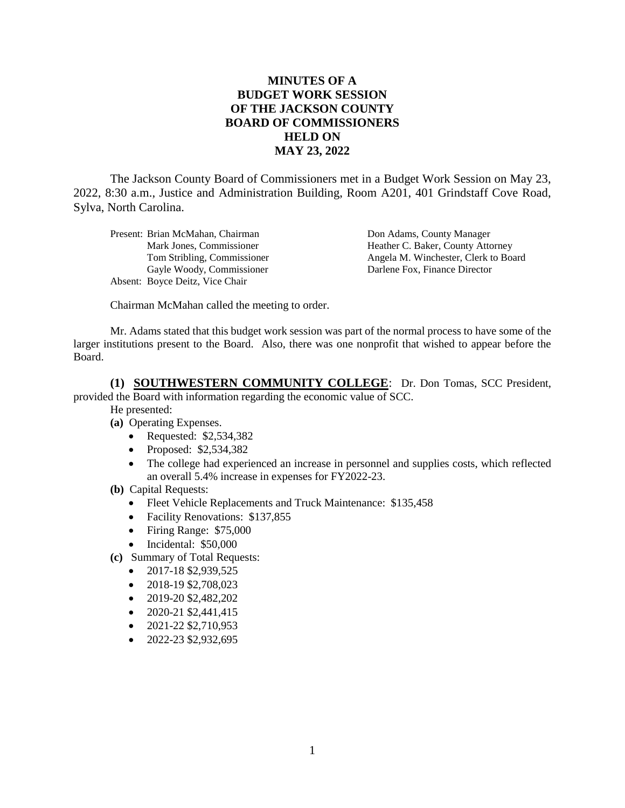## **MINUTES OF A BUDGET WORK SESSION OF THE JACKSON COUNTY BOARD OF COMMISSIONERS HELD ON MAY 23, 2022**

The Jackson County Board of Commissioners met in a Budget Work Session on May 23, 2022, 8:30 a.m., Justice and Administration Building, Room A201, 401 Grindstaff Cove Road, Sylva, North Carolina.

Present: Brian McMahan, Chairman **Don Adams, County Manager** Gayle Woody, Commissioner Darlene Fox, Finance Director Absent: Boyce Deitz, Vice Chair

Mark Jones, Commissioner Heather C. Baker, County Attorney Tom Stribling, Commissioner Angela M. Winchester, Clerk to Board

Chairman McMahan called the meeting to order.

Mr. Adams stated that this budget work session was part of the normal process to have some of the larger institutions present to the Board. Also, there was one nonprofit that wished to appear before the Board.

**(1) SOUTHWESTERN COMMUNITY COLLEGE**: Dr. Don Tomas, SCC President, provided the Board with information regarding the economic value of SCC.

He presented:

- **(a)** Operating Expenses.
	- Requested: \$2,534,382
	- Proposed: \$2,534,382
	- The college had experienced an increase in personnel and supplies costs, which reflected an overall 5.4% increase in expenses for FY2022-23.
- **(b)** Capital Requests:
	- Fleet Vehicle Replacements and Truck Maintenance: \$135,458
	- Facility Renovations: \$137,855
	- Firing Range: \$75,000
	- Incidental: \$50,000
- **(c)** Summary of Total Requests:
	- $\bullet$  2017-18 \$2,939,525
	- $\bullet$  2018-19 \$2,708,023
	- $\bullet$  2019-20 \$2,482,202
	- $\bullet$  2020-21 \$2,441,415
	- $\bullet$  2021-22 \$2,710,953
	- $\bullet$  2022-23 \$2,932,695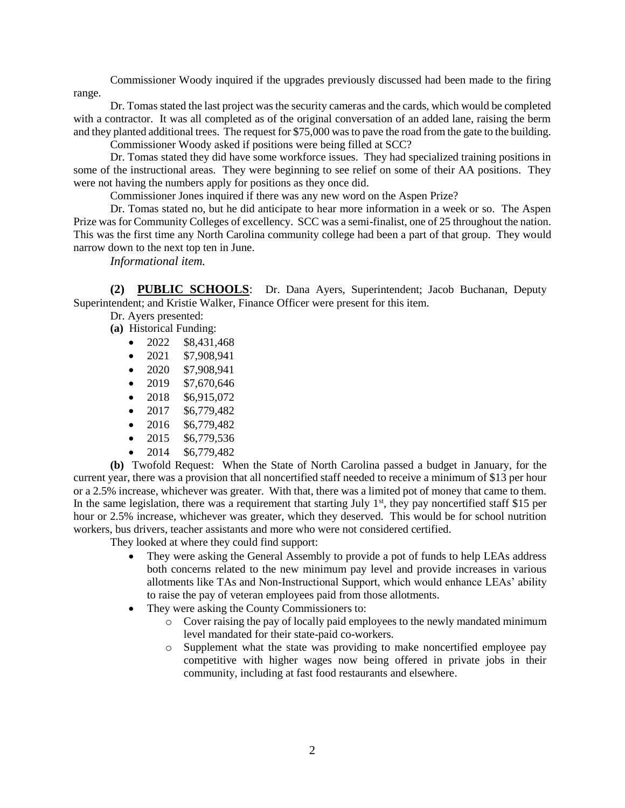Commissioner Woody inquired if the upgrades previously discussed had been made to the firing range.

Dr. Tomas stated the last project was the security cameras and the cards, which would be completed with a contractor. It was all completed as of the original conversation of an added lane, raising the berm and they planted additional trees. The request for \$75,000 was to pave the road from the gate to the building.

Commissioner Woody asked if positions were being filled at SCC?

Dr. Tomas stated they did have some workforce issues. They had specialized training positions in some of the instructional areas. They were beginning to see relief on some of their AA positions. They were not having the numbers apply for positions as they once did.

Commissioner Jones inquired if there was any new word on the Aspen Prize?

Dr. Tomas stated no, but he did anticipate to hear more information in a week or so. The Aspen Prize was for Community Colleges of excellency. SCC was a semi-finalist, one of 25 throughout the nation. This was the first time any North Carolina community college had been a part of that group. They would narrow down to the next top ten in June.

*Informational item.*

**(2) PUBLIC SCHOOLS**: Dr. Dana Ayers, Superintendent; Jacob Buchanan, Deputy Superintendent; and Kristie Walker, Finance Officer were present for this item.

Dr. Ayers presented:

- **(a)** Historical Funding:
	- $\bullet$  2022 \$8,431,468
	- $\bullet$  2021 \$7,908,941
	- $\bullet$  2020 \$7,908,941
	- $\bullet$  2019 \$7,670,646
	- $\bullet$  2018 \$6,915,072
	- $\bullet$  2017 \$6,779,482
	- $\bullet$  2016 \$6,779,482
	- $\bullet$  2015 \$6,779,536
	- 2014 \$6,779,482

**(b)** Twofold Request: When the State of North Carolina passed a budget in January, for the current year, there was a provision that all noncertified staff needed to receive a minimum of \$13 per hour or a 2.5% increase, whichever was greater. With that, there was a limited pot of money that came to them. In the same legislation, there was a requirement that starting July  $1<sup>st</sup>$ , they pay noncertified staff \$15 per hour or 2.5% increase, whichever was greater, which they deserved. This would be for school nutrition workers, bus drivers, teacher assistants and more who were not considered certified.

They looked at where they could find support:

- They were asking the General Assembly to provide a pot of funds to help LEAs address both concerns related to the new minimum pay level and provide increases in various allotments like TAs and Non-Instructional Support, which would enhance LEAs' ability to raise the pay of veteran employees paid from those allotments.
- They were asking the County Commissioners to:
	- o Cover raising the pay of locally paid employees to the newly mandated minimum level mandated for their state-paid co-workers.
	- o Supplement what the state was providing to make noncertified employee pay competitive with higher wages now being offered in private jobs in their community, including at fast food restaurants and elsewhere.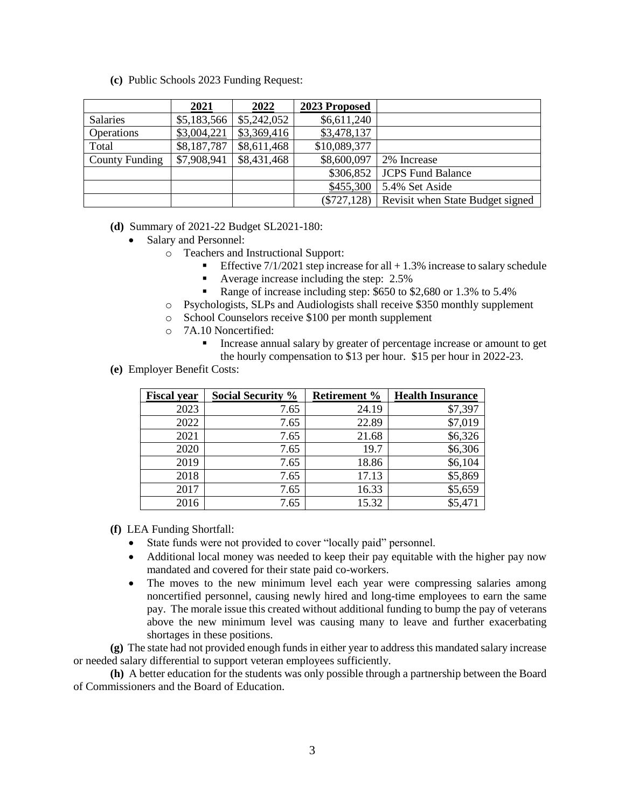**(c)** Public Schools 2023 Funding Request:

|                       | 2021        | 2022        | 2023 Proposed  |                                  |
|-----------------------|-------------|-------------|----------------|----------------------------------|
| <b>Salaries</b>       | \$5,183,566 | \$5,242,052 | \$6,611,240    |                                  |
| <b>Operations</b>     | \$3,004,221 | \$3,369,416 | \$3,478,137    |                                  |
| Total                 | \$8,187,787 | \$8,611,468 | \$10,089,377   |                                  |
| <b>County Funding</b> | \$7,908,941 | \$8,431,468 | \$8,600,097    | 2% Increase                      |
|                       |             |             | \$306,852      | <b>JCPS Fund Balance</b>         |
|                       |             |             | \$455,300      | 5.4% Set Aside                   |
|                       |             |             | $(\$727, 128)$ | Revisit when State Budget signed |

## **(d)** Summary of 2021-22 Budget SL2021-180:

- Salary and Personnel:
	- o Teachers and Instructional Support:
		- Effective  $7/1/2021$  step increase for all  $+1.3\%$  increase to salary schedule
		- Average increase including the step: 2.5%
		- Range of increase including step: \$650 to \$2,680 or 1.3% to 5.4%
	- o Psychologists, SLPs and Audiologists shall receive \$350 monthly supplement
	- o School Counselors receive \$100 per month supplement
	- o 7A.10 Noncertified:
		- Increase annual salary by greater of percentage increase or amount to get the hourly compensation to \$13 per hour. \$15 per hour in 2022-23.
- **(e)** Employer Benefit Costs:

| <b>Fiscal year</b> | <b>Social Security %</b> | <b>Retirement %</b> | <b>Health Insurance</b> |
|--------------------|--------------------------|---------------------|-------------------------|
| 2023               | 7.65                     | 24.19               | \$7,397                 |
| 2022               | 7.65                     | 22.89               | \$7,019                 |
| 2021               | 7.65                     | 21.68               | \$6,326                 |
| 2020               | 7.65                     | 19.7                | \$6,306                 |
| 2019               | 7.65                     | 18.86               | \$6,104                 |
| 2018               | 7.65                     | 17.13               | \$5,869                 |
| 2017               | 7.65                     | 16.33               | \$5,659                 |
| 2016               | 7.65                     | 15.32               | \$5,471                 |

- **(f)** LEA Funding Shortfall:
	- State funds were not provided to cover "locally paid" personnel.
	- Additional local money was needed to keep their pay equitable with the higher pay now mandated and covered for their state paid co-workers.
	- The moves to the new minimum level each year were compressing salaries among noncertified personnel, causing newly hired and long-time employees to earn the same pay. The morale issue this created without additional funding to bump the pay of veterans above the new minimum level was causing many to leave and further exacerbating shortages in these positions.

**(g)** The state had not provided enough funds in either year to address this mandated salary increase or needed salary differential to support veteran employees sufficiently.

**(h)** A better education for the students was only possible through a partnership between the Board of Commissioners and the Board of Education.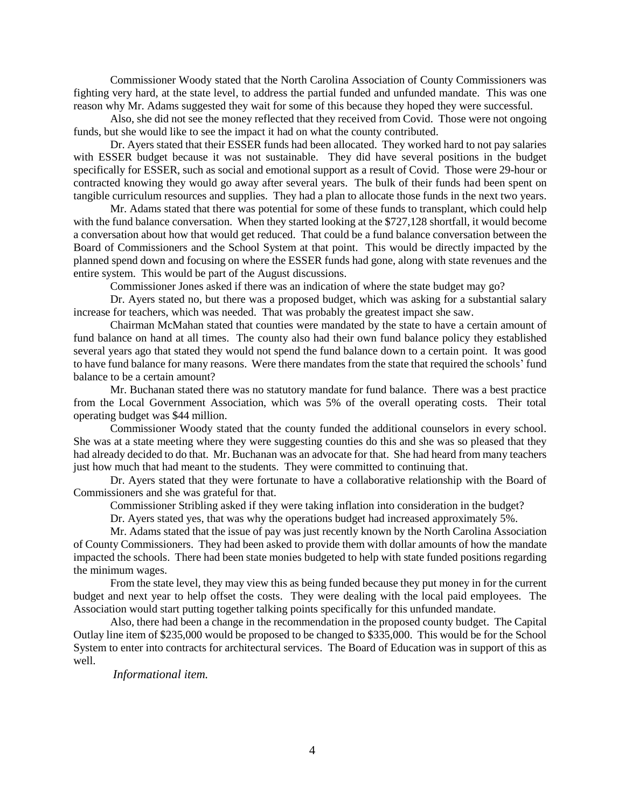Commissioner Woody stated that the North Carolina Association of County Commissioners was fighting very hard, at the state level, to address the partial funded and unfunded mandate. This was one reason why Mr. Adams suggested they wait for some of this because they hoped they were successful.

Also, she did not see the money reflected that they received from Covid. Those were not ongoing funds, but she would like to see the impact it had on what the county contributed.

Dr. Ayers stated that their ESSER funds had been allocated. They worked hard to not pay salaries with ESSER budget because it was not sustainable. They did have several positions in the budget specifically for ESSER, such as social and emotional support as a result of Covid. Those were 29-hour or contracted knowing they would go away after several years. The bulk of their funds had been spent on tangible curriculum resources and supplies. They had a plan to allocate those funds in the next two years.

Mr. Adams stated that there was potential for some of these funds to transplant, which could help with the fund balance conversation. When they started looking at the \$727,128 shortfall, it would become a conversation about how that would get reduced. That could be a fund balance conversation between the Board of Commissioners and the School System at that point. This would be directly impacted by the planned spend down and focusing on where the ESSER funds had gone, along with state revenues and the entire system. This would be part of the August discussions.

Commissioner Jones asked if there was an indication of where the state budget may go?

Dr. Ayers stated no, but there was a proposed budget, which was asking for a substantial salary increase for teachers, which was needed. That was probably the greatest impact she saw.

Chairman McMahan stated that counties were mandated by the state to have a certain amount of fund balance on hand at all times. The county also had their own fund balance policy they established several years ago that stated they would not spend the fund balance down to a certain point. It was good to have fund balance for many reasons. Were there mandates from the state that required the schools' fund balance to be a certain amount?

Mr. Buchanan stated there was no statutory mandate for fund balance. There was a best practice from the Local Government Association, which was 5% of the overall operating costs. Their total operating budget was \$44 million.

Commissioner Woody stated that the county funded the additional counselors in every school. She was at a state meeting where they were suggesting counties do this and she was so pleased that they had already decided to do that. Mr. Buchanan was an advocate for that. She had heard from many teachers just how much that had meant to the students. They were committed to continuing that.

Dr. Ayers stated that they were fortunate to have a collaborative relationship with the Board of Commissioners and she was grateful for that.

Commissioner Stribling asked if they were taking inflation into consideration in the budget?

Dr. Ayers stated yes, that was why the operations budget had increased approximately 5%.

Mr. Adams stated that the issue of pay was just recently known by the North Carolina Association of County Commissioners. They had been asked to provide them with dollar amounts of how the mandate impacted the schools. There had been state monies budgeted to help with state funded positions regarding the minimum wages.

From the state level, they may view this as being funded because they put money in for the current budget and next year to help offset the costs. They were dealing with the local paid employees. The Association would start putting together talking points specifically for this unfunded mandate.

Also, there had been a change in the recommendation in the proposed county budget. The Capital Outlay line item of \$235,000 would be proposed to be changed to \$335,000. This would be for the School System to enter into contracts for architectural services. The Board of Education was in support of this as well.

*Informational item.*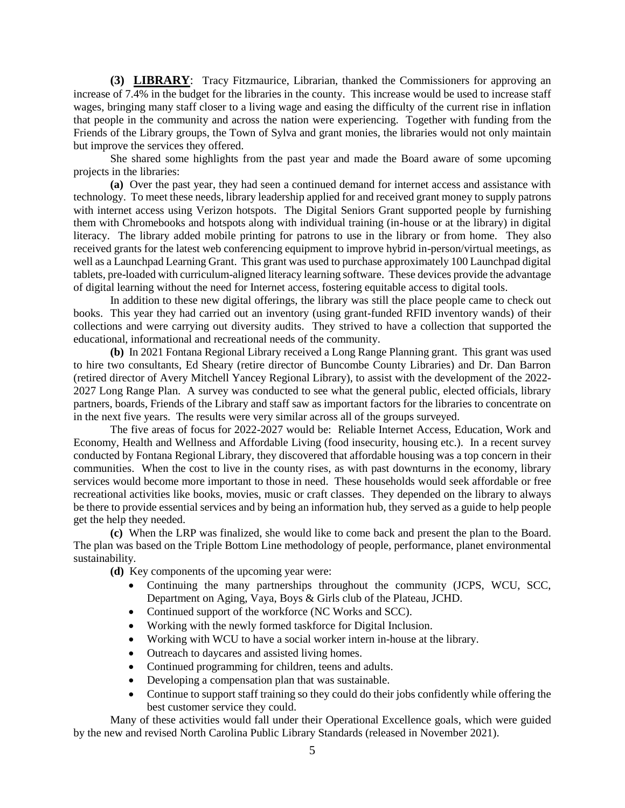**(3) LIBRARY**: Tracy Fitzmaurice, Librarian, thanked the Commissioners for approving an increase of 7.4% in the budget for the libraries in the county. This increase would be used to increase staff wages, bringing many staff closer to a living wage and easing the difficulty of the current rise in inflation that people in the community and across the nation were experiencing. Together with funding from the Friends of the Library groups, the Town of Sylva and grant monies, the libraries would not only maintain but improve the services they offered.

She shared some highlights from the past year and made the Board aware of some upcoming projects in the libraries:

**(a)** Over the past year, they had seen a continued demand for internet access and assistance with technology. To meet these needs, library leadership applied for and received grant money to supply patrons with internet access using Verizon hotspots. The Digital Seniors Grant supported people by furnishing them with Chromebooks and hotspots along with individual training (in-house or at the library) in digital literacy. The library added mobile printing for patrons to use in the library or from home. They also received grants for the latest web conferencing equipment to improve hybrid in-person/virtual meetings, as well as a Launchpad Learning Grant. This grant was used to purchase approximately 100 Launchpad digital tablets, pre-loaded with curriculum-aligned literacy learning software. These devices provide the advantage of digital learning without the need for Internet access, fostering equitable access to digital tools.

In addition to these new digital offerings, the library was still the place people came to check out books. This year they had carried out an inventory (using grant-funded RFID inventory wands) of their collections and were carrying out diversity audits. They strived to have a collection that supported the educational, informational and recreational needs of the community.

**(b)** In 2021 Fontana Regional Library received a Long Range Planning grant. This grant was used to hire two consultants, Ed Sheary (retire director of Buncombe County Libraries) and Dr. Dan Barron (retired director of Avery Mitchell Yancey Regional Library), to assist with the development of the 2022- 2027 Long Range Plan. A survey was conducted to see what the general public, elected officials, library partners, boards, Friends of the Library and staff saw as important factors for the libraries to concentrate on in the next five years. The results were very similar across all of the groups surveyed.

The five areas of focus for 2022-2027 would be: Reliable Internet Access, Education, Work and Economy, Health and Wellness and Affordable Living (food insecurity, housing etc.). In a recent survey conducted by Fontana Regional Library, they discovered that affordable housing was a top concern in their communities. When the cost to live in the county rises, as with past downturns in the economy, library services would become more important to those in need. These households would seek affordable or free recreational activities like books, movies, music or craft classes. They depended on the library to always be there to provide essential services and by being an information hub, they served as a guide to help people get the help they needed.

**(c)** When the LRP was finalized, she would like to come back and present the plan to the Board. The plan was based on the Triple Bottom Line methodology of people, performance, planet environmental sustainability.

**(d)** Key components of the upcoming year were:

- Continuing the many partnerships throughout the community (JCPS, WCU, SCC, Department on Aging, Vaya, Boys & Girls club of the Plateau, JCHD.
- Continued support of the workforce (NC Works and SCC).
- Working with the newly formed taskforce for Digital Inclusion.
- Working with WCU to have a social worker intern in-house at the library.
- Outreach to daycares and assisted living homes.
- Continued programming for children, teens and adults.
- Developing a compensation plan that was sustainable.
- Continue to support staff training so they could do their jobs confidently while offering the best customer service they could.

Many of these activities would fall under their Operational Excellence goals, which were guided by the new and revised North Carolina Public Library Standards (released in November 2021).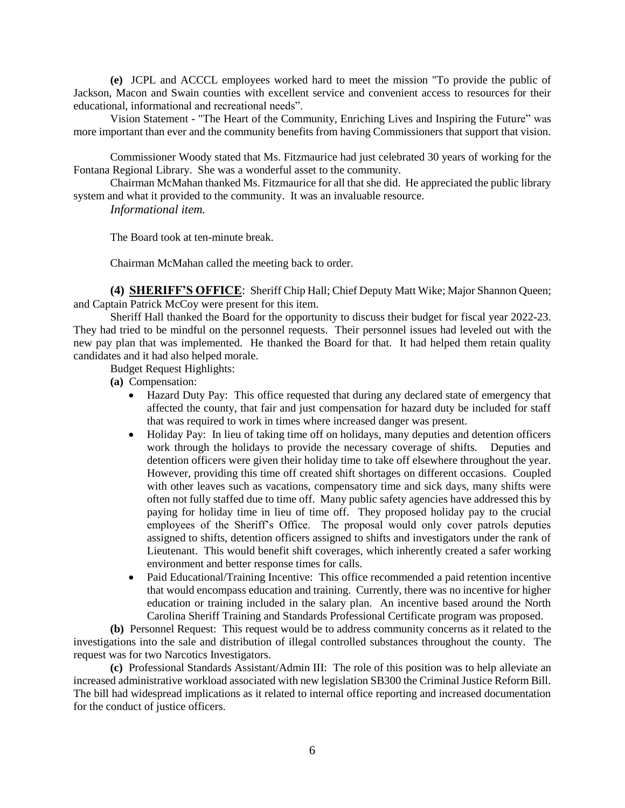**(e)** JCPL and ACCCL employees worked hard to meet the mission "To provide the public of Jackson, Macon and Swain counties with excellent service and convenient access to resources for their educational, informational and recreational needs".

Vision Statement - "The Heart of the Community, Enriching Lives and Inspiring the Future" was more important than ever and the community benefits from having Commissioners that support that vision.

Commissioner Woody stated that Ms. Fitzmaurice had just celebrated 30 years of working for the Fontana Regional Library. She was a wonderful asset to the community.

Chairman McMahan thanked Ms. Fitzmaurice for all that she did. He appreciated the public library system and what it provided to the community. It was an invaluable resource.

*Informational item.*

The Board took at ten-minute break.

Chairman McMahan called the meeting back to order.

**(4) SHERIFF'S OFFICE**: Sheriff Chip Hall; Chief Deputy Matt Wike; Major Shannon Queen; and Captain Patrick McCoy were present for this item.

Sheriff Hall thanked the Board for the opportunity to discuss their budget for fiscal year 2022-23. They had tried to be mindful on the personnel requests. Their personnel issues had leveled out with the new pay plan that was implemented. He thanked the Board for that. It had helped them retain quality candidates and it had also helped morale.

Budget Request Highlights:

**(a)** Compensation:

- Hazard Duty Pay: This office requested that during any declared state of emergency that affected the county, that fair and just compensation for hazard duty be included for staff that was required to work in times where increased danger was present.
- Holiday Pay: In lieu of taking time off on holidays, many deputies and detention officers work through the holidays to provide the necessary coverage of shifts. Deputies and detention officers were given their holiday time to take off elsewhere throughout the year. However, providing this time off created shift shortages on different occasions. Coupled with other leaves such as vacations, compensatory time and sick days, many shifts were often not fully staffed due to time off. Many public safety agencies have addressed this by paying for holiday time in lieu of time off. They proposed holiday pay to the crucial employees of the Sheriff's Office. The proposal would only cover patrols deputies assigned to shifts, detention officers assigned to shifts and investigators under the rank of Lieutenant. This would benefit shift coverages, which inherently created a safer working environment and better response times for calls.
- Paid Educational/Training Incentive: This office recommended a paid retention incentive that would encompass education and training. Currently, there was no incentive for higher education or training included in the salary plan. An incentive based around the North Carolina Sheriff Training and Standards Professional Certificate program was proposed.

**(b)** Personnel Request: This request would be to address community concerns as it related to the investigations into the sale and distribution of illegal controlled substances throughout the county. The request was for two Narcotics Investigators.

**(c)** Professional Standards Assistant/Admin III: The role of this position was to help alleviate an increased administrative workload associated with new legislation SB300 the Criminal Justice Reform Bill. The bill had widespread implications as it related to internal office reporting and increased documentation for the conduct of justice officers.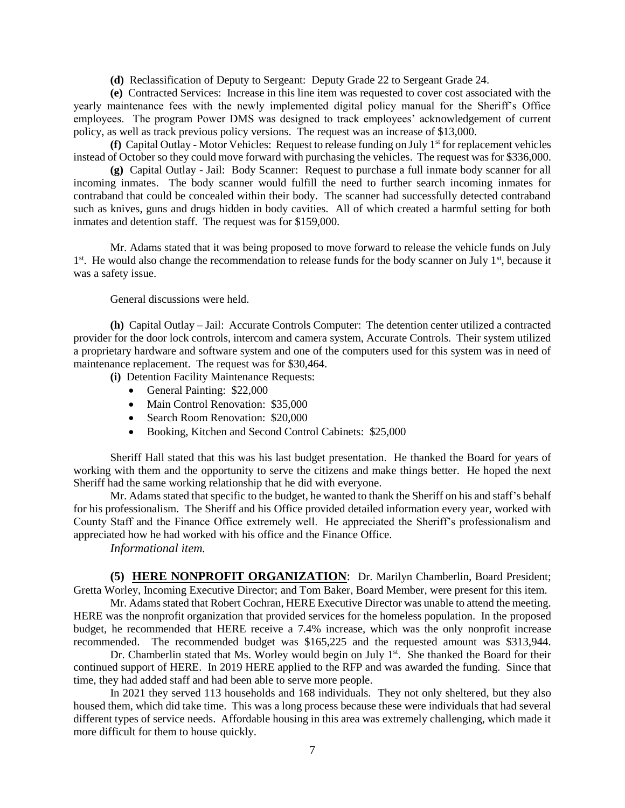**(d)** Reclassification of Deputy to Sergeant: Deputy Grade 22 to Sergeant Grade 24.

**(e)** Contracted Services: Increase in this line item was requested to cover cost associated with the yearly maintenance fees with the newly implemented digital policy manual for the Sheriff's Office employees. The program Power DMS was designed to track employees' acknowledgement of current policy, as well as track previous policy versions. The request was an increase of \$13,000.

**(f)** Capital Outlay - Motor Vehicles: Request to release funding on July 1st for replacement vehicles instead of October so they could move forward with purchasing the vehicles. The request was for \$336,000.

**(g)** Capital Outlay - Jail: Body Scanner: Request to purchase a full inmate body scanner for all incoming inmates. The body scanner would fulfill the need to further search incoming inmates for contraband that could be concealed within their body. The scanner had successfully detected contraband such as knives, guns and drugs hidden in body cavities. All of which created a harmful setting for both inmates and detention staff. The request was for \$159,000.

Mr. Adams stated that it was being proposed to move forward to release the vehicle funds on July 1<sup>st</sup>. He would also change the recommendation to release funds for the body scanner on July 1<sup>st</sup>, because it was a safety issue.

General discussions were held.

**(h)** Capital Outlay – Jail: Accurate Controls Computer: The detention center utilized a contracted provider for the door lock controls, intercom and camera system, Accurate Controls. Their system utilized a proprietary hardware and software system and one of the computers used for this system was in need of maintenance replacement. The request was for \$30,464.

**(i)** Detention Facility Maintenance Requests:

- General Painting: \$22,000
- Main Control Renovation: \$35,000
- Search Room Renovation: \$20,000
- Booking, Kitchen and Second Control Cabinets: \$25,000

Sheriff Hall stated that this was his last budget presentation. He thanked the Board for years of working with them and the opportunity to serve the citizens and make things better. He hoped the next Sheriff had the same working relationship that he did with everyone.

Mr. Adams stated that specific to the budget, he wanted to thank the Sheriff on his and staff's behalf for his professionalism. The Sheriff and his Office provided detailed information every year, worked with County Staff and the Finance Office extremely well. He appreciated the Sheriff's professionalism and appreciated how he had worked with his office and the Finance Office.

*Informational item.*

**(5) HERE NONPROFIT ORGANIZATION**: Dr. Marilyn Chamberlin, Board President; Gretta Worley, Incoming Executive Director; and Tom Baker, Board Member, were present for this item.

Mr. Adams stated that Robert Cochran, HERE Executive Director was unable to attend the meeting. HERE was the nonprofit organization that provided services for the homeless population. In the proposed budget, he recommended that HERE receive a 7.4% increase, which was the only nonprofit increase recommended. The recommended budget was \$165,225 and the requested amount was \$313,944.

Dr. Chamberlin stated that Ms. Worley would begin on July 1<sup>st</sup>. She thanked the Board for their continued support of HERE. In 2019 HERE applied to the RFP and was awarded the funding. Since that time, they had added staff and had been able to serve more people.

In 2021 they served 113 households and 168 individuals. They not only sheltered, but they also housed them, which did take time. This was a long process because these were individuals that had several different types of service needs. Affordable housing in this area was extremely challenging, which made it more difficult for them to house quickly.